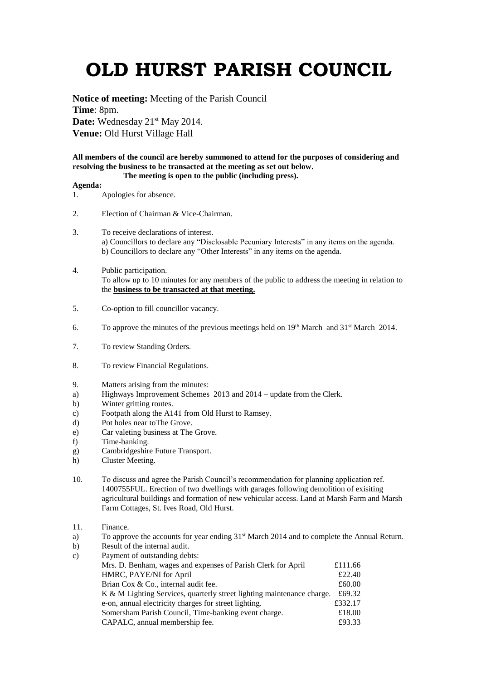## **OLD HURST PARISH COUNCIL**

**Notice of meeting:** Meeting of the Parish Council **Time**: 8pm. Date: Wednesday 21<sup>st</sup> May 2014. **Venue:** Old Hurst Village Hall

**All members of the council are hereby summoned to attend for the purposes of considering and resolving the business to be transacted at the meeting as set out below. The meeting is open to the public (including press).**

## **Agenda:**

- 1. Apologies for absence.
- 2. Election of Chairman & Vice-Chairman.
- 3. To receive declarations of interest. a) Councillors to declare any "Disclosable Pecuniary Interests" in any items on the agenda. b) Councillors to declare any "Other Interests" in any items on the agenda.
- 4. Public participation. To allow up to 10 minutes for any members of the public to address the meeting in relation to the **business to be transacted at that meeting.**
- 5. Co-option to fill councillor vacancy.
- 6. To approve the minutes of the previous meetings held on  $19<sup>th</sup>$  March and  $31<sup>st</sup>$  March 2014.
- 7. To review Standing Orders.
- 8. To review Financial Regulations.
- 9. Matters arising from the minutes:
- a) Highways Improvement Schemes 2013 and 2014 update from the Clerk.
- b) Winter gritting routes.
- c) Footpath along the A141 from Old Hurst to Ramsey.
- d) Pot holes near toThe Grove.
- e) Car valeting business at The Grove.
- f) Time-banking.
- g) Cambridgeshire Future Transport.
- h) Cluster Meeting.
- 10. To discuss and agree the Parish Council's recommendation for planning application ref. 1400755FUL. Erection of two dwellings with garages following demolition of exisiting agricultural buildings and formation of new vehicular access. Land at Marsh Farm and Marsh Farm Cottages, St. Ives Road, Old Hurst.
- 11. Finance.
- a) To approve the accounts for year ending  $31<sup>st</sup>$  March 2014 and to complete the Annual Return.
- b) Result of the internal audit.

| c) | Payment of outstanding debts:                                          |         |
|----|------------------------------------------------------------------------|---------|
|    | Mrs. D. Benham, wages and expenses of Parish Clerk for April           | £111.66 |
|    | HMRC, PAYE/NI for April                                                | £22.40  |
|    | Brian Cox & Co., internal audit fee.                                   | £60.00  |
|    | K & M Lighting Services, quarterly street lighting maintenance charge. | £69.32  |
|    | e-on, annual electricity charges for street lighting.                  | £332.17 |
|    | Somersham Parish Council, Time-banking event charge.                   | £18.00  |
|    | CAPALC, annual membership fee.                                         | £93.33  |
|    |                                                                        |         |